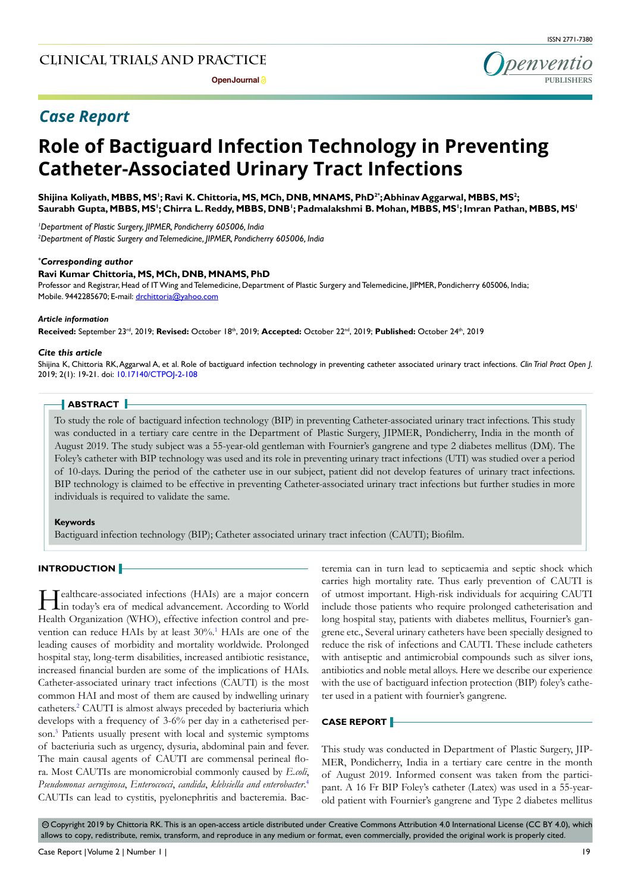

# *Case Report*

# **Role of Bactiguard Infection Technology in Preventing Catheter-Associated Urinary Tract Infections**

**Shijina Koliyath, MBBS, MS1 ; Ravi K. Chittoria, MS, MCh, DNB, MNAMS, PhD2\* ; Abhinav Aggarwal, MBBS, MS2 ; Saurabh Gupta, MBBS, MS1 ; Chirra L. Reddy, MBBS, DNB1 ; Padmalakshmi B. Mohan, MBBS, MS1 ; Imran Pathan, MBBS, MS1**

*1 Department of Plastic Surgery, JIPMER, Pondicherry 605006, India 2 Department of Plastic Surgery and Telemedicine, JIPMER, Pondicherry 605006, India*

#### *\* Corresponding author*

#### **Ravi Kumar Chittoria, MS, MCh, DNB, MNAMS, PhD**

Professor and Registrar, Head of IT Wing and Telemedicine, Department of Plastic Surgery and Telemedicine, JIPMER, Pondicherry 605006, India; Mobile. 9442285670; E-mail: drchittoria@yahoo.com

#### *Article information*

**Received:** September 23rd, 2019; **Revised:** October 18th, 2019; **Accepted:** October 22nd, 2019; **Published:** October 24th, 2019

#### *Cite this article*

Shijina K, Chittoria RK, Aggarwal A, et al. Role of bactiguard infection technology in preventing catheter associated urinary tract infections. *Clin Trial Pract Open J*. 2019; 2(1): 19-21. doi: [10.17140/CTPOJ-2-108](http://dx.doi.org/10.17140/CTPOJ-2-108)

#### **ABSTRACT**

To study the role of bactiguard infection technology (BIP) in preventing Catheter-associated urinary tract infections. This study was conducted in a tertiary care centre in the Department of Plastic Surgery, JIPMER, Pondicherry, India in the month of August 2019. The study subject was a 55-year-old gentleman with Fournier's gangrene and type 2 diabetes mellitus (DM). The Foley's catheter with BIP technology was used and its role in preventing urinary tract infections (UTI) was studied over a period of 10-days. During the period of the catheter use in our subject, patient did not develop features of urinary tract infections. BIP technology is claimed to be effective in preventing Catheter-associated urinary tract infections but further studies in more individuals is required to validate the same.

#### **Keywords**

Bactiguard infection technology (BIP); Catheter associated urinary tract infection (CAUTI); Biofilm.

#### **INTRODUCTION**

Healthcare-associated infections (HAIs) are a major concern in today's era of medical advancement. According to World Health Organization (WHO), effective infection control and pre-vention can reduce HAIs by at least 30%.<sup>[1](#page-2-0)</sup> HAIs are one of the leading causes of morbidity and mortality worldwide. Prolonged hospital stay, long-term disabilities, increased antibiotic resistance, increased financial burden are some of the implications of HAIs. Catheter-associated urinary tract infections (CAUTI) is the most common HAI and most of them are caused by indwelling urinary catheters.<sup>2</sup> CAUTI is almost always preceded by bacteriuria which develops with a frequency of 3-6% per day in a catheterised person.<sup>3</sup> Patients usually present with local and systemic symptoms of bacteriuria such as urgency, dysuria, abdominal pain and fever. The main causal agents of CAUTI are commensal perineal flora. Most CAUTIs are monomicrobial commonly caused by *E.coli*, *Pseudomonas aeruginosa*, *Enteroccocci*, *candida*, *klebsiella and enterobacter*. [4](#page-2-3) CAUTIs can lead to cystitis, pyelonephritis and bacteremia. Bac-

teremia can in turn lead to septicaemia and septic shock which carries high mortality rate. Thus early prevention of CAUTI is of utmost important. High-risk individuals for acquiring CAUTI include those patients who require prolonged catheterisation and long hospital stay, patients with diabetes mellitus, Fournier's gangrene etc., Several urinary catheters have been specially designed to reduce the risk of infections and CAUTI. These include catheters with antiseptic and antimicrobial compounds such as silver ions, antibiotics and noble metal alloys. Here we describe our experience with the use of bactiguard infection protection (BIP) foley's catheter used in a patient with fournier's gangrene.

#### **CASE REPORT**

This study was conducted in Department of Plastic Surgery, JIP-MER, Pondicherry, India in a tertiary care centre in the month of August 2019. Informed consent was taken from the participant. A 16 Fr BIP Foley's catheter (Latex) was used in a 55-yearold patient with Fournier's gangrene and Type 2 diabetes mellitus

© Copyright 2019 by Chittoria RK. This is an open-access article distributed under Creative Commons Attribution 4.0 International License (CC BY 4.0), which allows to copy, redistribute, remix, transform, and reproduce in any medium or format, even commercially, provided the original work is properly cited.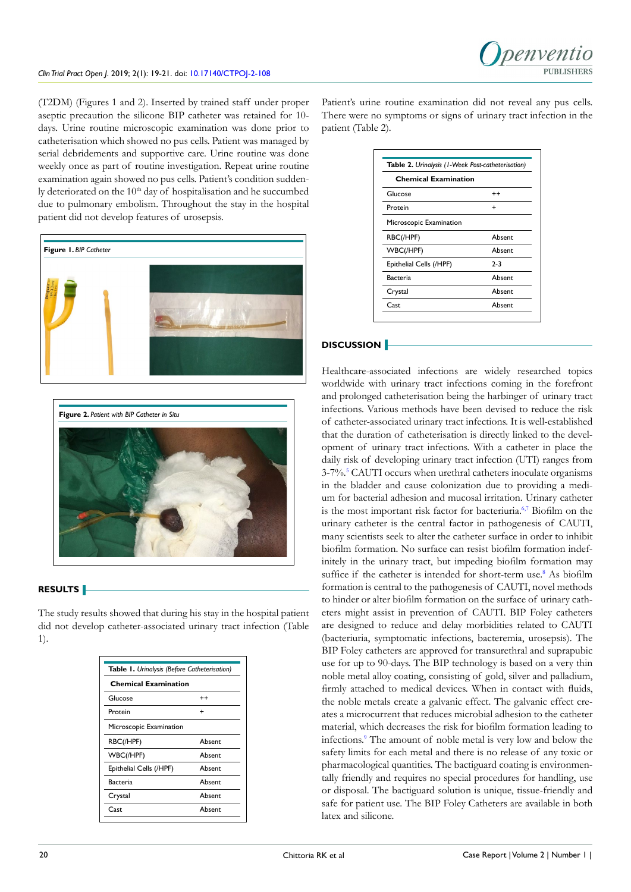(T2DM) (Figures 1 and 2). Inserted by trained staff under proper aseptic precaution the silicone BIP catheter was retained for 10 days. Urine routine microscopic examination was done prior to catheterisation which showed no pus cells. Patient was managed by serial debridements and supportive care. Urine routine was done weekly once as part of routine investigation. Repeat urine routine examination again showed no pus cells. Patient's condition suddenly deteriorated on the 10<sup>th</sup> day of hospitalisation and he succumbed due to pulmonary embolism. Throughout the stay in the hospital patient did not develop features of urosepsis.





# **RESULTS**

The study results showed that during his stay in the hospital patient did not develop catheter-associated urinary tract infection (Table 1).

| Table 1. Urinalysis (Before Catheterisation)<br><b>Chemical Examination</b> |        |
|-----------------------------------------------------------------------------|--------|
|                                                                             |        |
| Protein                                                                     | +      |
| Microscopic Examination                                                     |        |
| RBC(/HPF)                                                                   | Absent |
| WBC(/HPF)                                                                   | Absent |
| Epithelial Cells (/HPF)                                                     | Absent |
| Bacteria                                                                    | Absent |
| Crystal                                                                     | Absent |
| Cast                                                                        | Absent |
|                                                                             |        |

Patient's urine routine examination did not reveal any pus cells. There were no symptoms or signs of urinary tract infection in the patient (Table 2).

| Table 2. Urinalysis (1-Week Post-catheterisation)<br><b>Chemical Examination</b> |        |
|----------------------------------------------------------------------------------|--------|
|                                                                                  |        |
| Protein                                                                          | ÷      |
| Microscopic Examination                                                          |        |
| RBC(/HPF)                                                                        | Ahsent |
| WBC(/HPF)                                                                        | Absent |
| Epithelial Cells (/HPF)                                                          | $2-3$  |
| Bacteria                                                                         | Absent |
| Crystal                                                                          | Absent |
| Cast                                                                             | Absent |

# **DISCUSSION**

Healthcare-associated infections are widely researched topics worldwide with urinary tract infections coming in the forefront and prolonged catheterisation being the harbinger of urinary tract infections. Various methods have been devised to reduce the risk of catheter-associated urinary tract infections. It is well-established that the duration of catheterisation is directly linked to the development of urinary tract infections. With a catheter in place the daily risk of developing urinary tract infection (UTI) ranges from 3-7%.[5](#page-2-4) CAUTI occurs when urethral catheters inoculate organisms in the bladder and cause colonization due to providing a medium for bacterial adhesion and mucosal irritation. Urinary catheter is the most important risk factor for bacteriuria.<sup>6,7</sup> Biofilm on the urinary catheter is the central factor in pathogenesis of CAUTI, many scientists seek to alter the catheter surface in order to inhibit biofilm formation. No surface can resist biofilm formation indefinitely in the urinary tract, but impeding biofilm formation may suffice if the catheter is intended for short-term use.<sup>[8](#page-2-6)</sup> As biofilm formation is central to the pathogenesis of CAUTI, novel methods to hinder or alter biofilm formation on the surface of urinary catheters might assist in prevention of CAUTI. BIP Foley catheters are designed to reduce and delay morbidities related to CAUTI (bacteriuria, symptomatic infections, bacteremia, urosepsis). The BIP Foley catheters are approved for transurethral and suprapubic use for up to 90-days. The BIP technology is based on a very thin noble metal alloy coating, consisting of gold, silver and palladium, firmly attached to medical devices. When in contact with fluids, the noble metals create a galvanic effect. The galvanic effect creates a microcurrent that reduces microbial adhesion to the catheter material, which decreases the risk for biofilm formation leading to infections[.9](#page-2-7) The amount of noble metal is very low and below the safety limits for each metal and there is no release of any toxic or pharmacological quantities. The bactiguard coating is environmentally friendly and requires no special procedures for handling, use or disposal. The bactiguard solution is unique, tissue-friendly and safe for patient use. The BIP Foley Catheters are available in both latex and silicone.